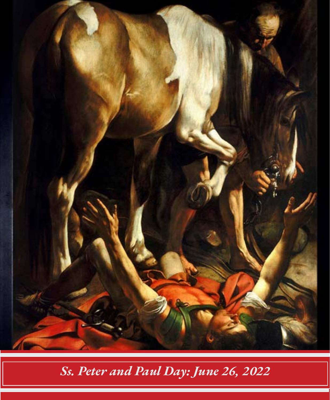

*Ss. Peter and Paul Day: June 26, 2022*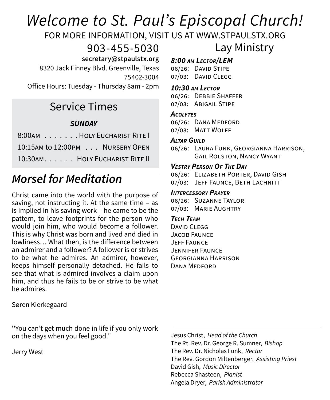# *Welcome to St. Paul's Episcopal Church!*

FOR MORE INFORMATION, VISIT US AT WWW.STPAULSTX.ORG

903-455-5030

 **secretary@stpaulstx.org**

8320 Jack Finney Blvd. Greenville, Texas 75402-3004

Office Hours: Tuesday - Thursday 8am - 2pm

## Service Times

## *SUNDAY*

- 8:00am . . . . . . HOLY EUCHARIST RITE I 10:15AM to 12:00PM . . . NURSERY OPEN
- 10:30am . . . . . . Holy Eucharist Rite II

## *Morsel for Meditation*

Christ came into the world with the purpose of saving, not instructing it. At the same time – as is implied in his saving work – he came to be the pattern, to leave footprints for the person who would join him, who would become a follower. This is why Christ was born and lived and died in lowliness… What then, is the difference between an admirer and a follower? A follower is or strives to be what he admires. An admirer, however, keeps himself personally detached. He fails to see that what is admired involves a claim upon him, and thus he fails to be or strive to be what he admires.

Søren Kierkegaard

''You can't get much done in life if you only work on the days when you feel good.''

Jerry West

## Lay Ministry *8:00 am Lector/LEM*

06/26: DAVID STIPE 07/03: DAVID CLEGG

## *10:30 am Lector*

06/26: Debbie Shaffer 07/03: Abigail Stipe

#### *Acolytes*

06/26: Dana Medford 07/03: MATT WOLFF

#### *Altar Guild*

06/26: Laura Funk, Georgianna Harrison, Gail Rolston, Nancy Wyant

#### *Vestry Person Of The Day*

06/26: ELIZABETH PORTER, DAVID GISH

07/03: JEFF FAUNCE, BETH LACHNITT

#### *Intercessory Prayer*

06/26: Suzanne Taylor 07/03: MARIE AUGHTRY

## *Tech Team*

David CLEGG JACOB FAUNCE Jeff Faunce Jennifer Faunce Georgianna Harrison DANA MEDEORD

Jesus Christ, *Head of the Church* The Rt. Rev. Dr. George R. Sumner, *Bishop* The Rev. Dr. Nicholas Funk, *Rector* The Rev. Gordon Miltenberger, *Assisting Priest* David Gish, *Music Director* Rebecca Shasteen, *Pianist* Angela Dryer, *Parish Administrator*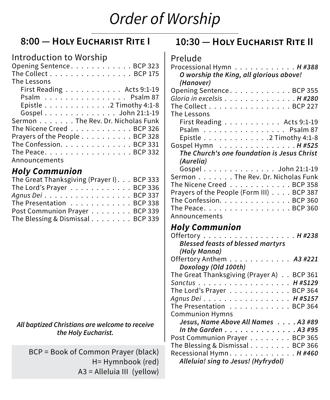# *Order of Worship*

## **8:00 — Holy Eucharist Rite I**

## Introduction to Worship

## *Holy Communion*

| The Great Thanksgiving (Prayer I). BCP 333 |  |
|--------------------------------------------|--|
| The Lord's Prayer BCP 336                  |  |
| Agnus Dei BCP 337                          |  |
| The Presentation BCP 338                   |  |
| Post Communion Prayer BCP 339              |  |
| The Blessing & Dismissal BCP 339           |  |

#### *All baptized Christians are welcome to receive the Holy Eucharist.*

BCP = Book of Common Prayer (black) H= Hymnbook (red) A3 = Alleluia III (yellow)

## **10:30 — Holy Eucharist Rite II**

## Prelude

| Processional Hymn H #388                                     |
|--------------------------------------------------------------|
| O worship the King, all glorious above!                      |
| (Hanover)                                                    |
| Opening Sentence. BCP 355                                    |
| Gloria in excelsis H #280                                    |
| The Collect $\ldots \ldots \ldots \ldots \ldots$ . BCP 227   |
| The Lessons                                                  |
| First Reading $\ldots \ldots \ldots$ . Acts 9:1-19           |
| Psalm Psalm 87                                               |
| Epistle $\ldots \ldots \ldots \ldots \ldots$ . Timothy 4:1-8 |
| Gospel Hymn H #525                                           |
| The Church's one foundation is Jesus Christ                  |
| (Aurelia)                                                    |
| Gospel $\ldots$ John 21:1-19                                 |
| Sermon The Rev. Dr. Nicholas Funk                            |
| The Nicene Creed BCP 358                                     |
| Prayers of the People (Form III) BCP 387                     |
| The Confession. $\ldots$ . BCP 360                           |
| The Peace. $\ldots$ . BCP 360                                |
| Announcements                                                |

## *Holy Communion*

| Offertory H #238                                            |
|-------------------------------------------------------------|
| <b>Blessed feasts of blessed martyrs</b>                    |
| (Holy Manna)                                                |
| Offertory Anthem A3 #221                                    |
| Doxology (Old 100th)                                        |
| The Great Thanksgiving (Prayer A) BCP 361                   |
| Sanctus H#S129                                              |
| The Lord's Prayer BCP 364                                   |
| Agnus Dei H #S157                                           |
| The Presentation BCP 364                                    |
| <b>Communion Hymns</b>                                      |
| Jesus, Name Above All Names A3 #89                          |
| In the Garden $\ldots \ldots \ldots \ldots \ldots$ . A3 #95 |
| Post Communion Prayer BCP 365                               |
| The Blessing & Dismissal BCP 366                            |
| Recessional Hymn. H#460                                     |
| Alleluia! sing to Jesus! (Hyfrydol)                         |